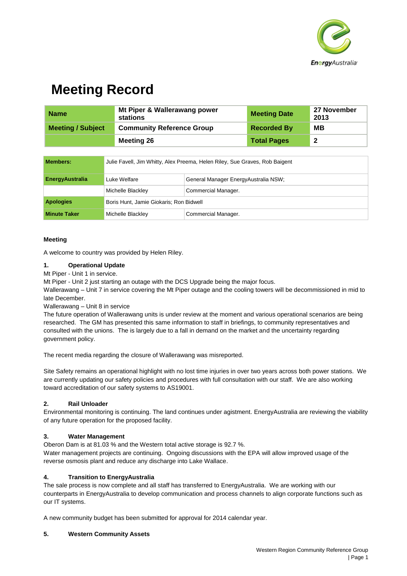

# **Meeting Record**

| <b>Name</b>              | Mt Piper & Wallerawang power<br><b>Meeting Date</b><br>stations |                    | 27 November<br>2013     |
|--------------------------|-----------------------------------------------------------------|--------------------|-------------------------|
| <b>Meeting / Subject</b> | <b>Community Reference Group</b>                                | <b>Recorded By</b> | MВ                      |
|                          | <b>Meeting 26</b>                                               | <b>Total Pages</b> | $\overline{\mathbf{2}}$ |

| <b>Members:</b>        | Julie Favell, Jim Whitty, Alex Preema, Helen Riley, Sue Graves, Rob Baigent |                                      |  |
|------------------------|-----------------------------------------------------------------------------|--------------------------------------|--|
| <b>EnergyAustralia</b> | Luke Welfare                                                                | General Manager EnergyAustralia NSW; |  |
|                        | Michelle Blackley                                                           | Commercial Manager.                  |  |
| <b>Apologies</b>       | Boris Hunt, Jamie Giokaris; Ron Bidwell                                     |                                      |  |
| <b>Minute Taker</b>    | Michelle Blackley                                                           | Commercial Manager.                  |  |

## **Meeting**

A welcome to country was provided by Helen Riley.

#### **1. Operational Update**

#### Mt Piper - Unit 1 in service.

Mt Piper - Unit 2 just starting an outage with the DCS Upgrade being the major focus.

Wallerawang – Unit 7 in service covering the Mt Piper outage and the cooling towers will be decommissioned in mid to late December.

Wallerawang – Unit 8 in service

The future operation of Wallerawang units is under review at the moment and various operational scenarios are being researched. The GM has presented this same information to staff in briefings, to community representatives and consulted with the unions. The is largely due to a fall in demand on the market and the uncertainty regarding government policy.

The recent media regarding the closure of Wallerawang was misreported.

Site Safety remains an operational highlight with no lost time injuries in over two years across both power stations. We are currently updating our safety policies and procedures with full consultation with our staff. We are also working toward accreditation of our safety systems to AS19001.

#### **2. Rail Unloader**

Environmental monitoring is continuing. The land continues under agistment. EnergyAustralia are reviewing the viability of any future operation for the proposed facility.

#### **3. Water Management**

Oberon Dam is at 81.03 % and the Western total active storage is 92.7 %.

Water management projects are continuing. Ongoing discussions with the EPA will allow improved usage of the reverse osmosis plant and reduce any discharge into Lake Wallace.

#### **4. Transition to EnergyAustralia**

The sale process is now complete and all staff has transferred to EnergyAustralia. We are working with our counterparts in EnergyAustralia to develop communication and process channels to align corporate functions such as our IT systems.

A new community budget has been submitted for approval for 2014 calendar year.

#### **5. Western Community Assets**